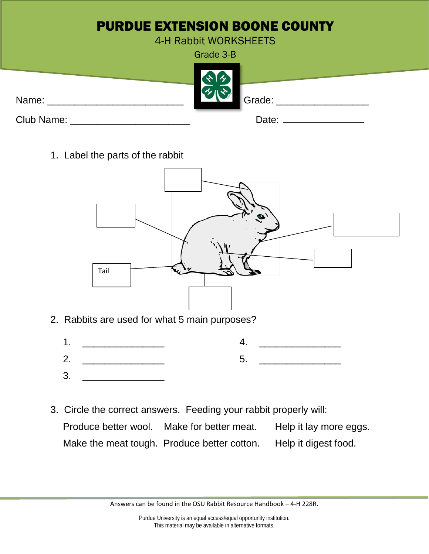|            | <b>PURDUE EXTENSION BOONE COUNTY</b> |
|------------|--------------------------------------|
|            | 4-H Rabbit WORKSHEETS                |
|            | Grade 3-B                            |
| Name:      | Grade:                               |
| Club Name: | Date:                                |

1. Label the parts of the rabbit



- 2. Rabbits are used for what 5 main purposes?
	- 1. \_\_\_\_\_\_\_\_\_\_\_\_\_\_\_  $2.$ 4. \_\_\_\_\_\_\_\_\_\_\_\_\_\_\_  $5.$
	- $3<sub>l</sub>$
- 3. Circle the correct answers. Feeding your rabbit properly will: Produce better wool. Make for better meat. Help it lay more eggs. Make the meat tough. Produce better cotton. Help it digest food.

Answers can be found in the OSU Rabbit Resource Handbook – 4-H 228R.